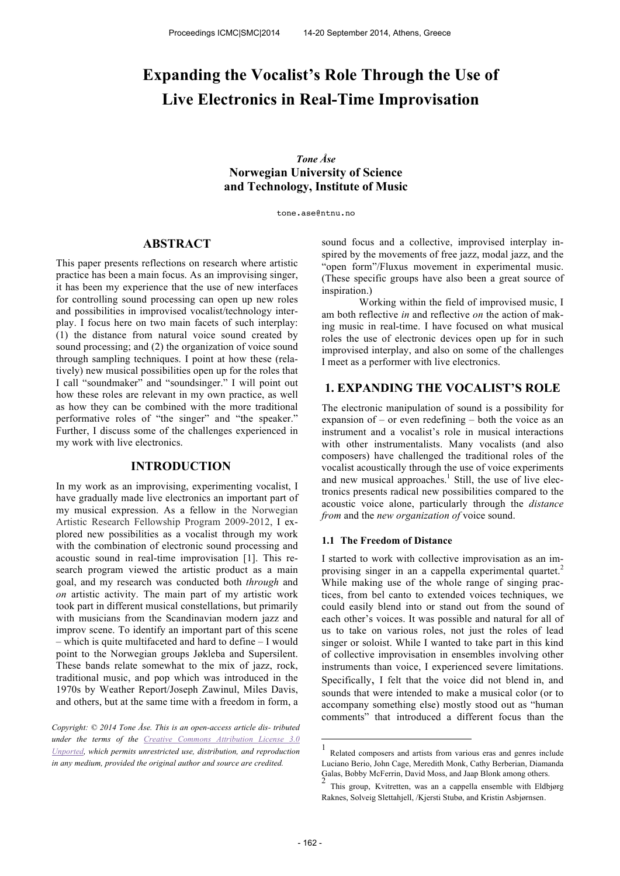# **Expanding the Vocalist's Role Through the Use of Live Electronics in Real-Time Improvisation**

*Tone Åse* **Norwegian University of Science and Technology, Institute of Music**

tone.ase@ntnu.no

## **ABSTRACT**

This paper presents reflections on research where artistic practice has been a main focus. As an improvising singer, it has been my experience that the use of new interfaces for controlling sound processing can open up new roles and possibilities in improvised vocalist/technology interplay. I focus here on two main facets of such interplay: (1) the distance from natural voice sound created by sound processing; and (2) the organization of voice sound through sampling techniques. I point at how these (relatively) new musical possibilities open up for the roles that I call "soundmaker" and "soundsinger." I will point out how these roles are relevant in my own practice, as well as how they can be combined with the more traditional performative roles of "the singer" and "the speaker." Further, I discuss some of the challenges experienced in my work with live electronics.

## **INTRODUCTION**

In my work as an improvising, experimenting vocalist, I have gradually made live electronics an important part of my musical expression. As a fellow in the Norwegian Artistic Research Fellowship Program 2009-2012, I explored new possibilities as a vocalist through my work with the combination of electronic sound processing and acoustic sound in real-time improvisation [1]. This research program viewed the artistic product as a main goal, and my research was conducted both *through* and *on* artistic activity. The main part of my artistic work took part in different musical constellations, but primarily with musicians from the Scandinavian modern jazz and improv scene. To identify an important part of this scene – which is quite multifaceted and hard to define – I would point to the Norwegian groups Jøkleba and Supersilent. These bands relate somewhat to the mix of jazz, rock, traditional music, and pop which was introduced in the 1970s by Weather Report/Joseph Zawinul, Miles Davis, and others, but at the same time with a freedom in form, a

*Copyright: © 2014 Tone Åse. This is an open-access article dis- tributed under the terms of the Creative Commons Attribution License 3.0 Unported, which permits unrestricted use, distribution, and reproduction in any medium, provided the original author and source are credited.*

sound focus and a collective, improvised interplay inspired by the movements of free jazz, modal jazz, and the "open form"/Fluxus movement in experimental music. (These specific groups have also been a great source of inspiration.)

Working within the field of improvised music, I am both reflective *in* and reflective *on* the action of making music in real-time. I have focused on what musical roles the use of electronic devices open up for in such improvised interplay, and also on some of the challenges I meet as a performer with live electronics.

## **1. EXPANDING THE VOCALIST'S ROLE**

The electronic manipulation of sound is a possibility for expansion of – or even redefining – both the voice as an instrument and a vocalist's role in musical interactions with other instrumentalists. Many vocalists (and also composers) have challenged the traditional roles of the vocalist acoustically through the use of voice experiments and new musical approaches. $\frac{1}{1}$  Still, the use of live electronics presents radical new possibilities compared to the acoustic voice alone, particularly through the *distance from* and the *new organization of* voice sound.

#### **1.1 The Freedom of Distance**

I started to work with collective improvisation as an improvising singer in an a cappella experimental quartet.<sup>2</sup> While making use of the whole range of singing practices, from bel canto to extended voices techniques, we could easily blend into or stand out from the sound of each other's voices. It was possible and natural for all of us to take on various roles, not just the roles of lead singer or soloist. While I wanted to take part in this kind of collective improvisation in ensembles involving other instruments than voice, I experienced severe limitations. Specifically, I felt that the voice did not blend in, and sounds that were intended to make a musical color (or to accompany something else) mostly stood out as "human comments" that introduced a different focus than the

-

<sup>1</sup> Related composers and artists from various eras and genres include Luciano Berio, John Cage, Meredith Monk, Cathy Berberian, Diamanda Galas, Bobby McFerrin, David Moss, and Jaap Blonk among others.

<sup>2</sup> This group, Kvitretten, was an a cappella ensemble with Eldbjørg Raknes, Solveig Slettahjell, /Kjersti Stubø, and Kristin Asbjørnsen.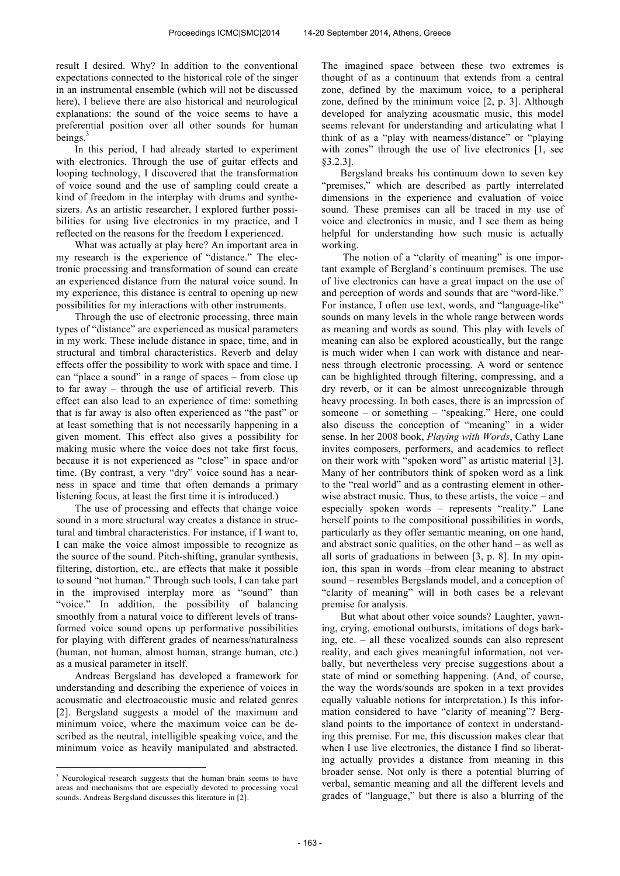result I desired. Why? In addition to the conventional expectations connected to the historical role of the singer in an instrumental ensemble (which will not be discussed here), I believe there are also historical and neurological explanations: the sound of the voice seems to have a preferential position over all other sounds for human beings.<sup>3</sup>

In this period, I had already started to experiment with electronics. Through the use of guitar effects and looping technology, I discovered that the transformation of voice sound and the use of sampling could create a kind of freedom in the interplay with drums and synthesizers. As an artistic researcher, I explored further possibilities for using live electronics in my practice, and I reflected on the reasons for the freedom I experienced.

What was actually at play here? An important area in my research is the experience of "distance." The electronic processing and transformation of sound can create an experienced distance from the natural voice sound. In my experience, this distance is central to opening up new possibilities for my interactions with other instruments.

Through the use of electronic processing, three main types of "distance" are experienced as musical parameters in my work. These include distance in space, time, and in structural and timbral characteristics. Reverb and delay effects offer the possibility to work with space and time. I can "place a sound" in a range of spaces – from close up to far away – through the use of artificial reverb. This effect can also lead to an experience of time: something that is far away is also often experienced as "the past" or at least something that is not necessarily happening in a given moment. This effect also gives a possibility for making music where the voice does not take first focus, because it is not experienced as "close" in space and/or time. (By contrast, a very "dry" voice sound has a nearness in space and time that often demands a primary listening focus, at least the first time it is introduced.)

The use of processing and effects that change voice sound in a more structural way creates a distance in structural and timbral characteristics. For instance, if I want to, I can make the voice almost impossible to recognize as the source of the sound. Pitch-shifting, granular synthesis, filtering, distortion, etc., are effects that make it possible to sound "not human." Through such tools, I can take part in the improvised interplay more as "sound" than "voice." In addition, the possibility of balancing smoothly from a natural voice to different levels of transformed voice sound opens up performative possibilities for playing with different grades of nearness/naturalness (human, not human, almost human, strange human, etc.) as a musical parameter in itself.

Andreas Bergsland has developed a framework for understanding and describing the experience of voices in acousmatic and electroacoustic music and related genres [2]. Bergsland suggests a model of the maximum and minimum voice, where the maximum voice can be described as the neutral, intelligible speaking voice, and the minimum voice as heavily manipulated and abstracted. The imagined space between these two extremes is thought of as a continuum that extends from a central zone, defined by the maximum voice, to a peripheral zone, defined by the minimum voice [2, p. 3]. Although developed for analyzing acousmatic music, this model seems relevant for understanding and articulating what I think of as a "play with nearness/distance" or "playing with zones" through the use of live electronics [1, see §3.2.3].

Bergsland breaks his continuum down to seven key "premises," which are described as partly interrelated dimensions in the experience and evaluation of voice sound. These premises can all be traced in my use of voice and electronics in music, and I see them as being helpful for understanding how such music is actually working.

The notion of a "clarity of meaning" is one important example of Bergland's continuum premises. The use of live electronics can have a great impact on the use of and perception of words and sounds that are "word-like." For instance, I often use text, words, and "language-like" sounds on many levels in the whole range between words as meaning and words as sound. This play with levels of meaning can also be explored acoustically, but the range is much wider when I can work with distance and nearness through electronic processing. A word or sentence can be highlighted through filtering, compressing, and a dry reverb, or it can be almost unrecognizable through heavy processing. In both cases, there is an impression of someone – or something – "speaking." Here, one could also discuss the conception of "meaning" in a wider sense. In her 2008 book, *Playing with Words*, Cathy Lane invites composers, performers, and academics to reflect on their work with "spoken word" as artistic material [3]. Many of her contributors think of spoken word as a link to the "real world" and as a contrasting element in otherwise abstract music. Thus, to these artists, the voice – and especially spoken words – represents "reality." Lane herself points to the compositional possibilities in words, particularly as they offer semantic meaning, on one hand, and abstract sonic qualities, on the other hand – as well as all sorts of graduations in between [3, p. 8]. In my opinion, this span in words –from clear meaning to abstract sound – resembles Bergslands model, and a conception of "clarity of meaning" will in both cases be a relevant premise for analysis.

But what about other voice sounds? Laughter, yawning, crying, emotional outbursts, imitations of dogs barking, etc. – all these vocalized sounds can also represent reality, and each gives meaningful information, not verbally, but nevertheless very precise suggestions about a state of mind or something happening. (And, of course, the way the words/sounds are spoken in a text provides equally valuable notions for interpretation.) Is this information considered to have "clarity of meaning"? Bergsland points to the importance of context in understanding this premise. For me, this discussion makes clear that when I use live electronics, the distance I find so liberating actually provides a distance from meaning in this broader sense. Not only is there a potential blurring of verbal, semantic meaning and all the different levels and grades of "language," but there is also a blurring of the

 $\overline{a}$ <sup>3</sup> Neurological research suggests that the human brain seems to have areas and mechanisms that are especially devoted to processing vocal sounds. Andreas Bergsland discusses this literature in [2].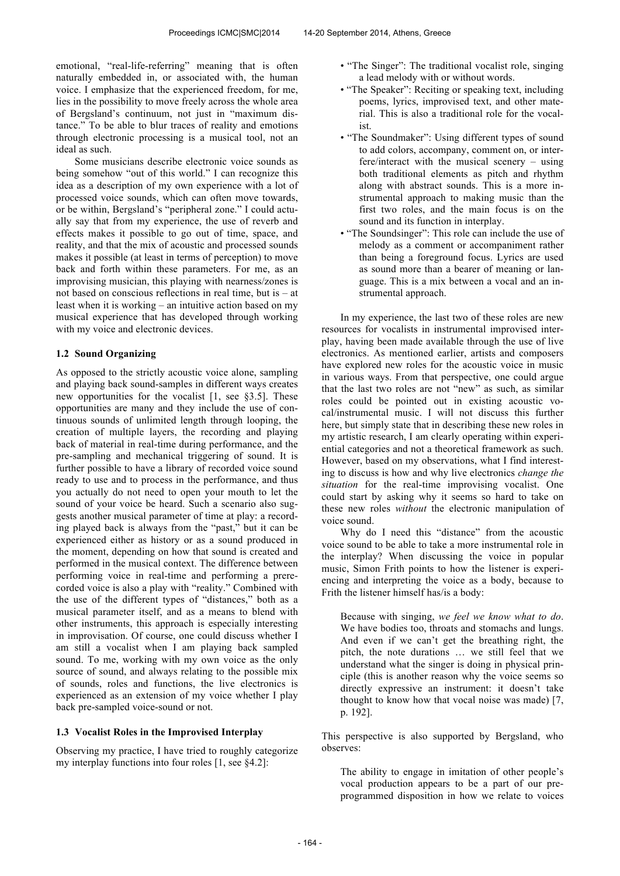emotional, "real-life-referring" meaning that is often naturally embedded in, or associated with, the human voice. I emphasize that the experienced freedom, for me, lies in the possibility to move freely across the whole area of Bergsland's continuum, not just in "maximum distance." To be able to blur traces of reality and emotions through electronic processing is a musical tool, not an ideal as such.

Some musicians describe electronic voice sounds as being somehow "out of this world." I can recognize this idea as a description of my own experience with a lot of processed voice sounds, which can often move towards, or be within, Bergsland's "peripheral zone." I could actually say that from my experience, the use of reverb and effects makes it possible to go out of time, space, and reality, and that the mix of acoustic and processed sounds makes it possible (at least in terms of perception) to move back and forth within these parameters. For me, as an improvising musician, this playing with nearness/zones is not based on conscious reflections in real time, but is – at least when it is working – an intuitive action based on my musical experience that has developed through working with my voice and electronic devices.

## **1.2 Sound Organizing**

As opposed to the strictly acoustic voice alone, sampling and playing back sound-samples in different ways creates new opportunities for the vocalist [1, see §3.5]. These opportunities are many and they include the use of continuous sounds of unlimited length through looping, the creation of multiple layers, the recording and playing back of material in real-time during performance, and the pre-sampling and mechanical triggering of sound. It is further possible to have a library of recorded voice sound ready to use and to process in the performance, and thus you actually do not need to open your mouth to let the sound of your voice be heard. Such a scenario also suggests another musical parameter of time at play: a recording played back is always from the "past," but it can be experienced either as history or as a sound produced in the moment, depending on how that sound is created and performed in the musical context. The difference between performing voice in real-time and performing a prerecorded voice is also a play with "reality." Combined with the use of the different types of "distances," both as a musical parameter itself, and as a means to blend with other instruments, this approach is especially interesting in improvisation. Of course, one could discuss whether I am still a vocalist when I am playing back sampled sound. To me, working with my own voice as the only source of sound, and always relating to the possible mix of sounds, roles and functions, the live electronics is experienced as an extension of my voice whether I play back pre-sampled voice-sound or not.

#### **1.3 Vocalist Roles in the Improvised Interplay**

Observing my practice, I have tried to roughly categorize my interplay functions into four roles [1, see §4.2]:

- "The Singer": The traditional vocalist role, singing a lead melody with or without words.
- "The Speaker": Reciting or speaking text, including poems, lyrics, improvised text, and other material. This is also a traditional role for the vocalist.
- "The Soundmaker": Using different types of sound to add colors, accompany, comment on, or interfere/interact with the musical scenery – using both traditional elements as pitch and rhythm along with abstract sounds. This is a more instrumental approach to making music than the first two roles, and the main focus is on the sound and its function in interplay.
- "The Soundsinger": This role can include the use of melody as a comment or accompaniment rather than being a foreground focus. Lyrics are used as sound more than a bearer of meaning or language. This is a mix between a vocal and an instrumental approach.

In my experience, the last two of these roles are new resources for vocalists in instrumental improvised interplay, having been made available through the use of live electronics. As mentioned earlier, artists and composers have explored new roles for the acoustic voice in music in various ways. From that perspective, one could argue that the last two roles are not "new" as such, as similar roles could be pointed out in existing acoustic vocal/instrumental music. I will not discuss this further here, but simply state that in describing these new roles in my artistic research, I am clearly operating within experiential categories and not a theoretical framework as such. However, based on my observations, what I find interesting to discuss is how and why live electronics *change the situation* for the real-time improvising vocalist. One could start by asking why it seems so hard to take on these new roles *without* the electronic manipulation of voice sound.

Why do I need this "distance" from the acoustic voice sound to be able to take a more instrumental role in the interplay? When discussing the voice in popular music, Simon Frith points to how the listener is experiencing and interpreting the voice as a body, because to Frith the listener himself has/is a body:

Because with singing, *we feel we know what to do*. We have bodies too, throats and stomachs and lungs. And even if we can't get the breathing right, the pitch, the note durations … we still feel that we understand what the singer is doing in physical principle (this is another reason why the voice seems so directly expressive an instrument: it doesn't take thought to know how that vocal noise was made) [7, p. 192].

This perspective is also supported by Bergsland, who observes:

The ability to engage in imitation of other people's vocal production appears to be a part of our preprogrammed disposition in how we relate to voices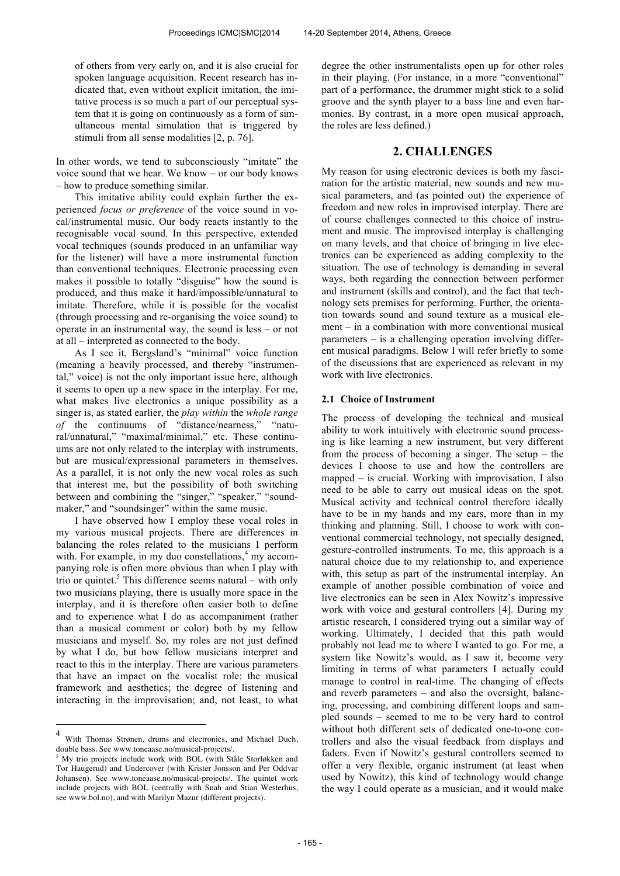of others from very early on, and it is also crucial for spoken language acquisition. Recent research has indicated that, even without explicit imitation, the imitative process is so much a part of our perceptual system that it is going on continuously as a form of simultaneous mental simulation that is triggered by stimuli from all sense modalities [2, p. 76].

In other words, we tend to subconsciously "imitate" the voice sound that we hear. We know – or our body knows – how to produce something similar.

This imitative ability could explain further the experienced *focus or preference* of the voice sound in vocal/instrumental music. Our body reacts instantly to the recognisable vocal sound. In this perspective, extended vocal techniques (sounds produced in an unfamiliar way for the listener) will have a more instrumental function than conventional techniques. Electronic processing even makes it possible to totally "disguise" how the sound is produced, and thus make it hard/impossible/unnatural to imitate. Therefore, while it is possible for the vocalist (through processing and re-organising the voice sound) to operate in an instrumental way, the sound is less – or not at all – interpreted as connected to the body.

As I see it, Bergsland's "minimal" voice function (meaning a heavily processed, and thereby "instrumental," voice) is not the only important issue here, although it seems to open up a new space in the interplay. For me, what makes live electronics a unique possibility as a singer is, as stated earlier, the *play within* the *whole range of* the continuums of "distance/nearness," "natural/unnatural," "maximal/minimal," etc. These continuums are not only related to the interplay with instruments, but are musical/expressional parameters in themselves. As a parallel, it is not only the new vocal roles as such that interest me, but the possibility of both switching between and combining the "singer," "speaker," "soundmaker," and "soundsinger" within the same music.

I have observed how I employ these vocal roles in my various musical projects. There are differences in balancing the roles related to the musicians I perform with. For example, in my duo constellations,<sup>4</sup> my accompanying role is often more obvious than when I play with trio or quintet.<sup>5</sup> This difference seems natural – with only two musicians playing, there is usually more space in the interplay, and it is therefore often easier both to define and to experience what I do as accompaniment (rather than a musical comment or color) both by my fellow musicians and myself. So, my roles are not just defined by what I do, but how fellow musicians interpret and react to this in the interplay. There are various parameters that have an impact on the vocalist role: the musical framework and aesthetics; the degree of listening and interacting in the improvisation; and, not least, to what

 $\overline{a}$ 

degree the other instrumentalists open up for other roles in their playing. (For instance, in a more "conventional" part of a performance, the drummer might stick to a solid groove and the synth player to a bass line and even harmonies. By contrast, in a more open musical approach, the roles are less defined.)

## **2. CHALLENGES**

My reason for using electronic devices is both my fascination for the artistic material, new sounds and new musical parameters, and (as pointed out) the experience of freedom and new roles in improvised interplay. There are of course challenges connected to this choice of instrument and music. The improvised interplay is challenging on many levels, and that choice of bringing in live electronics can be experienced as adding complexity to the situation. The use of technology is demanding in several ways, both regarding the connection between performer and instrument (skills and control), and the fact that technology sets premises for performing. Further, the orientation towards sound and sound texture as a musical element – in a combination with more conventional musical parameters – is a challenging operation involving different musical paradigms. Below I will refer briefly to some of the discussions that are experienced as relevant in my work with live electronics.

## **2.1 Choice of Instrument**

The process of developing the technical and musical ability to work intuitively with electronic sound processing is like learning a new instrument, but very different from the process of becoming a singer. The setup – the devices I choose to use and how the controllers are mapped – is crucial. Working with improvisation, I also need to be able to carry out musical ideas on the spot. Musical activity and technical control therefore ideally have to be in my hands and my ears, more than in my thinking and planning. Still, I choose to work with conventional commercial technology, not specially designed, gesture-controlled instruments. To me, this approach is a natural choice due to my relationship to, and experience with, this setup as part of the instrumental interplay. An example of another possible combination of voice and live electronics can be seen in Alex Nowitz's impressive work with voice and gestural controllers [4]. During my artistic research, I considered trying out a similar way of working. Ultimately, I decided that this path would probably not lead me to where I wanted to go. For me, a system like Nowitz's would, as I saw it, become very limiting in terms of what parameters I actually could manage to control in real-time. The changing of effects and reverb parameters – and also the oversight, balancing, processing, and combining different loops and sampled sounds – seemed to me to be very hard to control without both different sets of dedicated one-to-one controllers and also the visual feedback from displays and faders. Even if Nowitz's gestural controllers seemed to offer a very flexible, organic instrument (at least when used by Nowitz), this kind of technology would change the way I could operate as a musician, and it would make

<sup>4</sup> With Thomas Strønen, drums and electronics, and Michael Duch, double bass. See www.toneaase.no/musical-projects/.

<sup>5</sup> My trio projects include work with BOL (with Ståle Storløkken and Tor Haugerud) and Undercover (with Krister Jonsson and Per Oddvar Johansen). See www.toneaase.no/musical-projects/. The quintet work include projects with BOL (centrally with Snah and Stian Westerhus, see www.bol.no), and with Marilyn Mazur (different projects).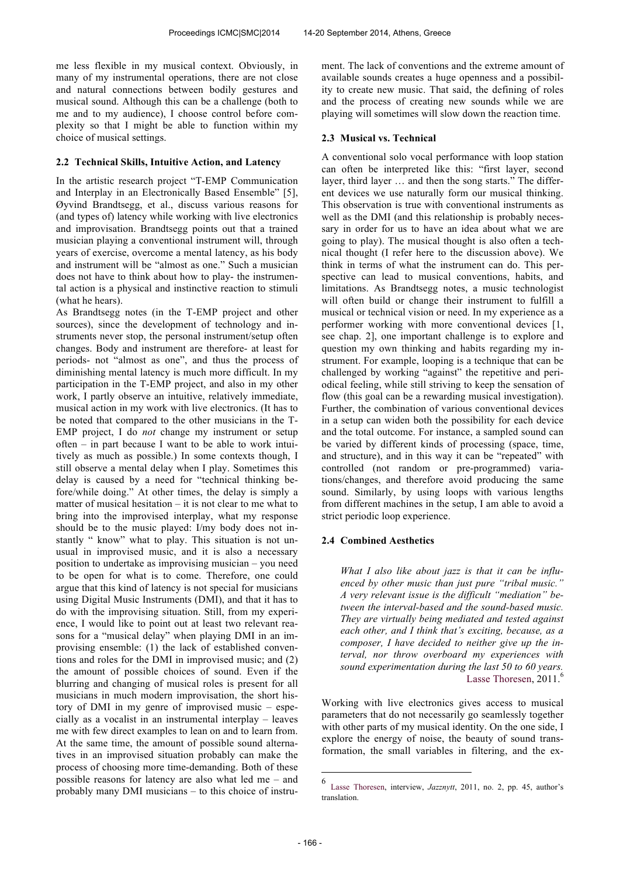me less flexible in my musical context. Obviously, in many of my instrumental operations, there are not close and natural connections between bodily gestures and musical sound. Although this can be a challenge (both to me and to my audience), I choose control before complexity so that I might be able to function within my choice of musical settings.

#### **2.2 Technical Skills, Intuitive Action, and Latency**

In the artistic research project "T-EMP Communication and Interplay in an Electronically Based Ensemble" [5], Øyvind Brandtsegg, et al., discuss various reasons for (and types of) latency while working with live electronics and improvisation. Brandtsegg points out that a trained musician playing a conventional instrument will, through years of exercise, overcome a mental latency, as his body and instrument will be "almost as one." Such a musician does not have to think about how to play- the instrumental action is a physical and instinctive reaction to stimuli (what he hears).

As Brandtsegg notes (in the T-EMP project and other sources), since the development of technology and instruments never stop, the personal instrument/setup often changes. Body and instrument are therefore- at least for periods- not "almost as one", and thus the process of diminishing mental latency is much more difficult. In my participation in the T-EMP project, and also in my other work, I partly observe an intuitive, relatively immediate, musical action in my work with live electronics. (It has to be noted that compared to the other musicians in the T-EMP project, I do *not* change my instrument or setup often – in part because I want to be able to work intuitively as much as possible.) In some contexts though, I still observe a mental delay when I play. Sometimes this delay is caused by a need for "technical thinking before/while doing." At other times, the delay is simply a matter of musical hesitation – it is not clear to me what to bring into the improvised interplay, what my response should be to the music played: I/my body does not instantly " know" what to play. This situation is not unusual in improvised music, and it is also a necessary position to undertake as improvising musician – you need to be open for what is to come. Therefore, one could argue that this kind of latency is not special for musicians using Digital Music Instruments (DMI), and that it has to do with the improvising situation. Still, from my experience, I would like to point out at least two relevant reasons for a "musical delay" when playing DMI in an improvising ensemble: (1) the lack of established conventions and roles for the DMI in improvised music; and (2) the amount of possible choices of sound. Even if the blurring and changing of musical roles is present for all musicians in much modern improvisation, the short history of DMI in my genre of improvised music – especially as a vocalist in an instrumental interplay – leaves me with few direct examples to lean on and to learn from. At the same time, the amount of possible sound alternatives in an improvised situation probably can make the process of choosing more time-demanding. Both of these possible reasons for latency are also what led me – and probably many DMI musicians – to this choice of instrument. The lack of conventions and the extreme amount of available sounds creates a huge openness and a possibility to create new music. That said, the defining of roles and the process of creating new sounds while we are playing will sometimes will slow down the reaction time.

#### **2.3 Musical vs. Technical**

A conventional solo vocal performance with loop station can often be interpreted like this: "first layer, second layer, third layer … and then the song starts." The different devices we use naturally form our musical thinking. This observation is true with conventional instruments as well as the DMI (and this relationship is probably necessary in order for us to have an idea about what we are going to play). The musical thought is also often a technical thought (I refer here to the discussion above). We think in terms of what the instrument can do. This perspective can lead to musical conventions, habits, and limitations. As Brandtsegg notes, a music technologist will often build or change their instrument to fulfill a musical or technical vision or need. In my experience as a performer working with more conventional devices [1, see chap. 2], one important challenge is to explore and question my own thinking and habits regarding my instrument. For example, looping is a technique that can be challenged by working "against" the repetitive and periodical feeling, while still striving to keep the sensation of flow (this goal can be a rewarding musical investigation). Further, the combination of various conventional devices in a setup can widen both the possibility for each device and the total outcome. For instance, a sampled sound can be varied by different kinds of processing (space, time, and structure), and in this way it can be "repeated" with controlled (not random or pre-programmed) variations/changes, and therefore avoid producing the same sound. Similarly, by using loops with various lengths from different machines in the setup, I am able to avoid a strict periodic loop experience.

## **2.4 Combined Aesthetics**

*What I also like about jazz is that it can be influenced by other music than just pure "tribal music." A very relevant issue is the difficult "mediation" between the interval-based and the sound-based music. They are virtually being mediated and tested against each other, and I think that's exciting, because, as a composer, I have decided to neither give up the interval, nor throw overboard my experiences with sound experimentation during the last 50 to 60 years.* Lasse Thoresen, 2011.<sup>6</sup>

Working with live electronics gives access to musical parameters that do not necessarily go seamlessly together with other parts of my musical identity. On the one side, I explore the energy of noise, the beauty of sound transformation, the small variables in filtering, and the ex-

<u>.</u>

<sup>6</sup> Lasse Thoresen, interview, *Jazznytt*, 2011, no. 2, pp. 45, author's translation.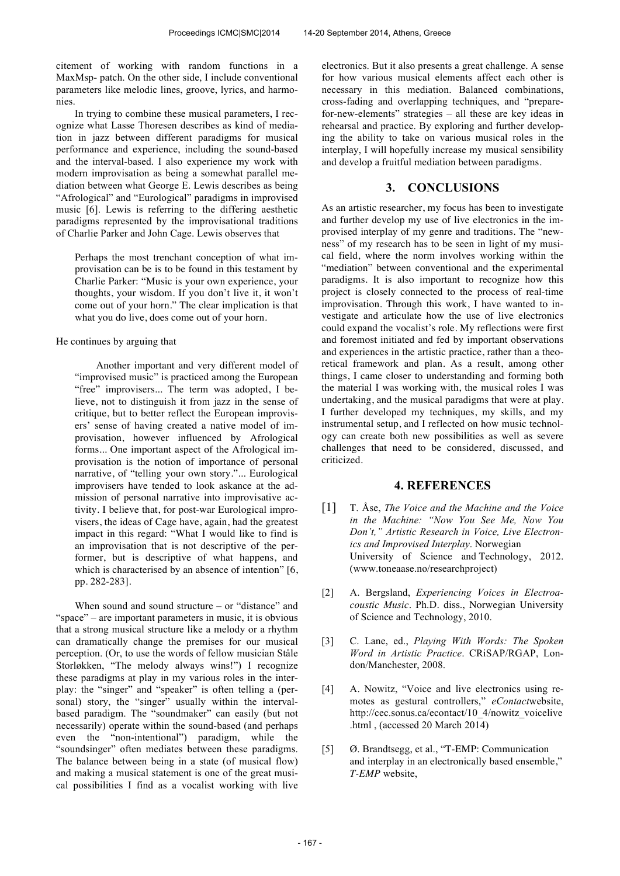citement of working with random functions in a MaxMsp- patch. On the other side, I include conventional parameters like melodic lines, groove, lyrics, and harmonies.

In trying to combine these musical parameters, I recognize what Lasse Thoresen describes as kind of mediation in jazz between different paradigms for musical performance and experience, including the sound-based and the interval-based. I also experience my work with modern improvisation as being a somewhat parallel mediation between what George E. Lewis describes as being "Afrological" and "Eurological" paradigms in improvised music [6]. Lewis is referring to the differing aesthetic paradigms represented by the improvisational traditions of Charlie Parker and John Cage. Lewis observes that

Perhaps the most trenchant conception of what improvisation can be is to be found in this testament by Charlie Parker: "Music is your own experience, your thoughts, your wisdom. If you don't live it, it won't come out of your horn." The clear implication is that what you do live, does come out of your horn.

## He continues by arguing that

Another important and very different model of "improvised music" is practiced among the European "free" improvisers... The term was adopted, I believe, not to distinguish it from jazz in the sense of critique, but to better reflect the European improvisers' sense of having created a native model of improvisation, however influenced by Afrological forms... One important aspect of the Afrological improvisation is the notion of importance of personal narrative, of "telling your own story."... Eurological improvisers have tended to look askance at the admission of personal narrative into improvisative activity. I believe that, for post-war Eurological improvisers, the ideas of Cage have, again, had the greatest impact in this regard: "What I would like to find is an improvisation that is not descriptive of the performer, but is descriptive of what happens, and which is characterised by an absence of intention" [6, pp. 282-283].

When sound and sound structure – or "distance" and "space" – are important parameters in music, it is obvious that a strong musical structure like a melody or a rhythm can dramatically change the premises for our musical perception. (Or, to use the words of fellow musician Ståle Storløkken, "The melody always wins!") I recognize these paradigms at play in my various roles in the interplay: the "singer" and "speaker" is often telling a (personal) story, the "singer" usually within the intervalbased paradigm. The "soundmaker" can easily (but not necessarily) operate within the sound-based (and perhaps even the "non-intentional") paradigm, while the "soundsinger" often mediates between these paradigms. The balance between being in a state (of musical flow) and making a musical statement is one of the great musical possibilities I find as a vocalist working with live electronics. But it also presents a great challenge. A sense for how various musical elements affect each other is necessary in this mediation. Balanced combinations, cross-fading and overlapping techniques, and "preparefor-new-elements" strategies – all these are key ideas in rehearsal and practice. By exploring and further developing the ability to take on various musical roles in the interplay, I will hopefully increase my musical sensibility and develop a fruitful mediation between paradigms.

## **3. CONCLUSIONS**

As an artistic researcher, my focus has been to investigate and further develop my use of live electronics in the improvised interplay of my genre and traditions. The "newness" of my research has to be seen in light of my musical field, where the norm involves working within the "mediation" between conventional and the experimental paradigms. It is also important to recognize how this project is closely connected to the process of real-time improvisation. Through this work, I have wanted to investigate and articulate how the use of live electronics could expand the vocalist's role. My reflections were first and foremost initiated and fed by important observations and experiences in the artistic practice, rather than a theoretical framework and plan. As a result, among other things, I came closer to understanding and forming both the material I was working with, the musical roles I was undertaking, and the musical paradigms that were at play. I further developed my techniques, my skills, and my instrumental setup, and I reflected on how music technology can create both new possibilities as well as severe challenges that need to be considered, discussed, and criticized.

## **4. REFERENCES**

- [1] T. Åse, *The Voice and the Machine and the Voice in the Machine: "Now You See Me, Now You Don't," Artistic Research in Voice, Live Electronics and Improvised Interplay*. Norwegian University of Science and Technology, 2012. (www.toneaase.no/researchproject)
- [2] A. Bergsland, *Experiencing Voices in Electroacoustic Music*. Ph.D. diss., Norwegian University of Science and Technology, 2010.
- [3] C. Lane, ed., *Playing With Words: The Spoken Word in Artistic Practice*. CRiSAP/RGAP, London/Manchester, 2008.
- [4] A. Nowitz, "Voice and live electronics using remotes as gestural controllers," *eContact*website, http://cec.sonus.ca/econtact/10\_4/nowitz\_voicelive .html , (accessed 20 March 2014)
- [5] Ø. Brandtsegg, et al., "T-EMP: Communication and interplay in an electronically based ensemble," *T-EMP* website,